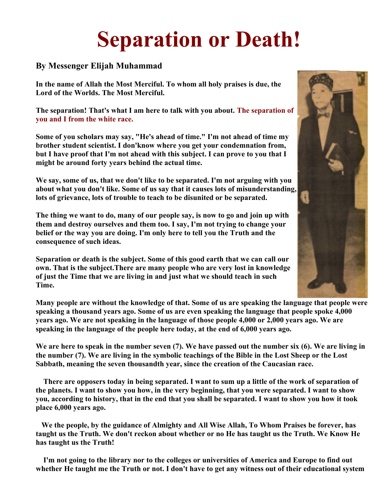# **Separation or Death!**

## **By Messenger Elijah Muhammad**

**In the name of Allah the Most Merciful. To whom all holy praises is due, the Lord of the Worlds. The Most Merciful.**

**The separation! That's what I am here to talk with you about. The separation of you and I from the white race.**

**Some of you scholars may say, "He's ahead of time." I'm not ahead of time my brother student scientist. I don'know where you get your condemnation from, but I have proof that I'm not ahead with this subject. I can prove to you that I might be around forty years behind the actual time.**

**We say, some of us, that we don't like to be separated. I'm not arguing with you about what you don't like. Some of us say that it causes lots of misunderstanding, lots of grievance, lots of trouble to teach to be disunited or be separated.**

**The thing we want to do, many of our people say, is now to go and join up with them and destroy ourselves and them too. I say, I'm not trying to change your belief or the way you are doing. I'm only here to tell you the Truth and the consequence of such ideas.**

**Separation or death is the subject. Some of this good earth that we can call our own. That is the subject.There are many people who are very lost in knowledge of just the Time that we are living in and just what we should teach in such Time.**

**Many people are without the knowledge of that. Some of us are speaking the language that people were speaking a thousand years ago. Some of us are even speaking the language that people spoke 4,000 years ago. We are not speaking in the language of those people 4,000 or 2,000 years ago. We are speaking in the language of the people here today, at the end of 6,000 years ago.**

**We are here to speak in the number seven (7). We have passed out the number six (6). We are living in the number (7). We are living in the symbolic teachings of the Bible in the Lost Sheep or the Lost Sabbath, meaning the seven thousandth year, since the creation of the Caucasian race.**

**There are opposers today in being separated. I want to sum up a little of the work of separation of the planets. I want to show you how, in the very beginning, that you were separated. I want to show you, according to history, that in the end that you shall be separated. I want to show you how it took place 6,000 years ago.**

**We the people, by the guidance of Almighty and All Wise Allah, To Whom Praises be forever, has taught us the Truth. We don't reckon about whether or no He has taught us the Truth. We Know He has taught us the Truth!**

**I'm not going to the library nor to the colleges or universities of America and Europe to find out whether He taught me the Truth or not. I don't have to get any witness out of their educational system** 

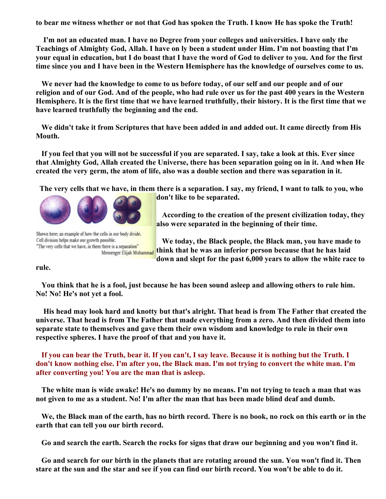**to bear me witness whether or not that God has spoken the Truth. I know He has spoke the Truth!**

**I'm not an educated man. I have no Degree from your colleges and universities. I have only the Teachings of Almighty God, Allah. I have on ly been a student under Him. I'm not boasting that I'm your equal in education, but I do boast that I have the word of God to deliver to you. And for the first time since you and I have been in the Western Hemisphere has the knowledge of ourselves come to us.**

**We never had the knowledge to come to us before today, of our self and our people and of our religion and of our God. And of the people, who had rule over us for the past 400 years in the Western Hemisphere. It is the first time that we have learned truthfully, their history. It is the first time that we have learned truthfully the beginning and the end.**

**We didn't take it from Scriptures that have been added in and added out. It came directly from His Mouth.**

**If you feel that you will not be successful if you are separated. I say, take a look at this. Ever since that Almighty God, Allah created the Universe, there has been separation going on in it. And when He created the very germ, the atom of life, also was a double section and there was separation in it.**

**The very cells that we have, in them there is a separation. I say, my friend, I want to talk to you, who** 



Shown here; an example of how the cells in our body divide. Cell division helps make our growth possible. "The very cells that we have, in them there is a separation" Messenger Elijah Muhammad

**don't like to be separated.** 

**According to the creation of the present civilization today, they also were separated in the beginning of their time.**

**We today, the Black people, the Black man, you have made to think that he was an inferior person because that he has laid down and slept for the past 6,000 years to allow the white race to** 

**rule.**

**You think that he is a fool, just because he has been sound asleep and allowing others to rule him. No! No! He's not yet a fool.**

**His head may look hard and knotty but that's alright. That head is from The Father that created the universe. That head is from The Father that made everything from a zero. And then divided them into separate state to themselves and gave them their own wisdom and knowledge to rule in their own respective spheres. I have the proof of that and you have it.**

**If you can bear the Truth, bear it. If you can't, I say leave. Because it is nothing but the Truth. I don't know nothing else. I'm after you, the Black man. I'm not trying to convert the white man. I'm after converting you! You are the man that is asleep.**

**The white man is wide awake! He's no dummy by no means. I'm not trying to teach a man that was not given to me as a student. No! I'm after the man that has been made blind deaf and dumb.**

**We, the Black man of the earth, has no birth record. There is no book, no rock on this earth or in the earth that can tell you our birth record.**

**Go and search the earth. Search the rocks for signs that draw our beginning and you won't find it.**

**Go and search for our birth in the planets that are rotating around the sun. You won't find it. Then stare at the sun and the star and see if you can find our birth record. You won't be able to do it.**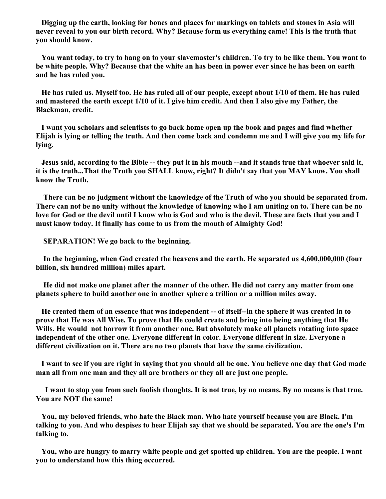**Digging up the earth, looking for bones and places for markings on tablets and stones in Asia will never reveal to you our birth record. Why? Because form us everything came! This is the truth that you should know.**

**You want today, to try to hang on to your slavemaster's children. To try to be like them. You want to be white people. Why? Because that the white an has been in power ever since he has been on earth and he has ruled you.**

**He has ruled us. Myself too. He has ruled all of our people, except about 1/10 of them. He has ruled and mastered the earth except 1/10 of it. I give him credit. And then I also give my Father, the Blackman, credit.**

**I want you scholars and scientists to go back home open up the book and pages and find whether Elijah is lying or telling the truth. And then come back and condemn me and I will give you my life for lying.**

**Jesus said, according to the Bible -- they put it in his mouth --and it stands true that whoever said it, it is the truth...That the Truth you SHALL know, right? It didn't say that you MAY know. You shall know the Truth.**

**There can be no judgment without the knowledge of the Truth of who you should be separated from. There can not be no unity without the knowledge of knowing who I am uniting on to. There can be no love for God or the devil until I know who is God and who is the devil. These are facts that you and I must know today. It finally has come to us from the mouth of Almighty God!**

**SEPARATION! We go back to the beginning.** 

**In the beginning, when God created the heavens and the earth. He separated us 4,600,000,000 (four billion, six hundred million) miles apart.**

**He did not make one planet after the manner of the other. He did not carry any matter from one planets sphere to build another one in another sphere a trillion or a million miles away.**

**He created them of an essence that was independent -- of itself--in the sphere it was created in to prove that He was All Wise. To prove that He could create and bring into being anything that He Wills. He would not borrow it from another one. But absolutely make all planets rotating into space independent of the other one. Everyone different in color. Everyone different in size. Everyone a different civilization on it. There are no two planets that have the same civilization.**

**I want to see if you are right in saying that you should all be one. You believe one day that God made man all from one man and they all are brothers or they all are just one people.**

**I want to stop you from such foolish thoughts. It is not true, by no means. By no means is that true. You are NOT the same!**

**You, my beloved friends, who hate the Black man. Who hate yourself because you are Black. I'm talking to you. And who despises to hear Elijah say that we should be separated. You are the one's I'm talking to.**

**You, who are hungry to marry white people and get spotted up children. You are the people. I want you to understand how this thing occurred.**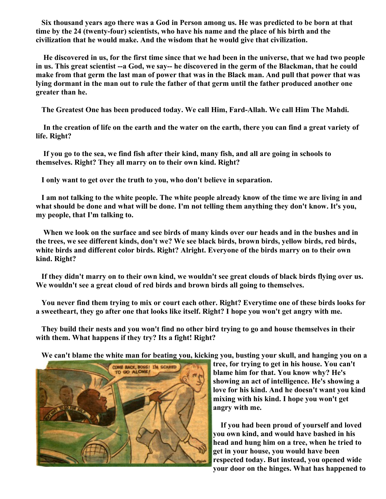**Six thousand years ago there was a God in Person among us. He was predicted to be born at that time by the 24 (twenty-four) scientists, who have his name and the place of his birth and the civilization that he would make. And the wisdom that he would give that civilization.** 

**He discovered in us, for the first time since that we had been in the universe, that we had two people in us. This great scientist --a God, we say-- he discovered in the germ of the Blackman, that he could make from that germ the last man of power that was in the Black man. And pull that power that was lying dormant in the man out to rule the father of that germ until the father produced another one greater than he.**

**The Greatest One has been produced today. We call Him, Fard-Allah. We call Him The Mahdi.**

**In the creation of life on the earth and the water on the earth, there you can find a great variety of life. Right?**

**If you go to the sea, we find fish after their kind, many fish, and all are going in schools to themselves. Right? They all marry on to their own kind. Right?**

**I only want to get over the truth to you, who don't believe in separation.**

**I am not talking to the white people. The white people already know of the time we are living in and what should be done and what will be done. I'm not telling them anything they don't know. It's you, my people, that I'm talking to.**

**When we look on the surface and see birds of many kinds over our heads and in the bushes and in the trees, we see different kinds, don't we? We see black birds, brown birds, yellow birds, red birds, white birds and different color birds. Right? Alright. Everyone of the birds marry on to their own kind. Right?**

**If they didn't marry on to their own kind, we wouldn't see great clouds of black birds flying over us. We wouldn't see a great cloud of red birds and brown birds all going to themselves.**

**You never find them trying to mix or court each other. Right? Everytime one of these birds looks for a sweetheart, they go after one that looks like itself. Right? I hope you won't get angry with me.**

**They build their nests and you won't find no other bird trying to go and house themselves in their with them. What happens if they try? Its a fight! Right?**

**We can't blame the white man for beating you, kicking you, busting your skull, and hanging you on a**



**tree, for trying to get in his house. You can't blame him for that. You know why? He's showing an act of intelligence. He's showing a love for his kind. And he doesn't want you kind mixing with his kind. I hope you won't get angry with me.**

**If you had been proud of yourself and loved you own kind, and would have bashed in his head and hung him on a tree, when he tried to get in your house, you would have been respected today. But instead, you opened wide your door on the hinges. What has happened to**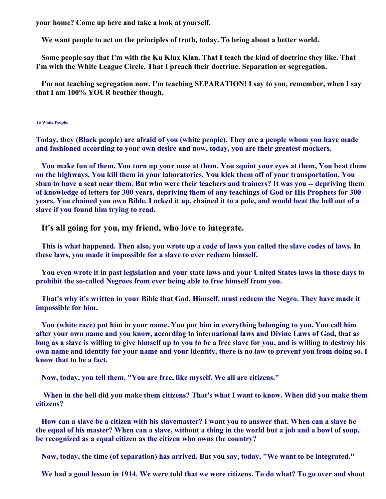**your home? Come up here and take a look at yourself.**

**We want people to act on the principles of truth, today. To bring about a better world.**

**Some people say that I'm with the Ku Klux Klan. That I teach the kind of doctrine they like. That I'm with the White League Circle. That I preach their doctrine. Separation or segregation.**

**I'm not teaching segregation now. I'm teaching SEPARATION! I say to you, remember, when I say that I am 100% YOUR brother though.**

#### **To White People:**

**Today, they (Black people) are afraid of you (white people). They are a people whom you have made and fashioned according to your own desire and now, today, you are their greatest mockers.**

**You make fun of them. You turn up your nose at them. You squint your eyes at them, You beat them on the highways. You kill them in your laboratories. You kick them off of your transportation. You shun to have a seat near them. But who were their teachers and trainers? It was you -- depriving them of knowledge of letters for 300 years, depriving them of any teachings of God or His Prophets for 300 years. You chained you own Bible. Locked it up, chained it to a pole, and would beat the hell out of a slave if you found him trying to read.**

**It's all going for you, my friend, who love to integrate.**

**This is what happened. Then also, you wrote up a code of laws you called the slave codes of laws. In these laws, you made it impossible for a slave to ever redeem himself.**

**You even wrote it in past legislation and your state laws and your United States laws in those days to prohibit the so-called Negroes from ever being able to free himself from you.**

**That's why it's written in your Bible that God, Himself, must redeem the Negro. They have made it impossible for him.**

**You (white race) put him in your name. You put him in everything belonging to you. You call him after your own name and you know, according to international laws and Divine Laws of God, that as long as a slave is willing to give himself up to you to be a free slave for you, and is willing to destroy his own name and identity for your name and your identity, there is no law to prevent you from doing so. I know that to be a fact.**

**Now, today, you tell them, "You are free, like myself. We all are citizens."** 

**When in the hell did you make them citizens? That's what I want to know. When did you make them citizens?**

**How can a slave be a citizen with his slavemaster? I want you to answer that. When can a slave be the equal of his master? When can a slave, without a thing in the world but a job and a bowl of soup, be recognized as a equal citizen as the citizen who owns the country?**

**Now, today, the time (of separation) has arrived. But you say, today, "We want to be integrated."** 

**We had a good lesson in 1914. We were told that we were citizens. To do what? To go over and shoot**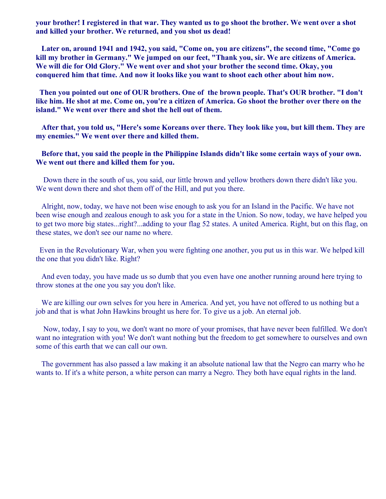**your brother! I registered in that war. They wanted us to go shoot the brother. We went over a shot and killed your brother. We returned, and you shot us dead!**

**Later on, around 1941 and 1942, you said, "Come on, you are citizens", the second time, "Come go kill my brother in Germany." We jumped on our feet, "Thank you, sir. We are citizens of America. We will die for Old Glory." We went over and shot your brother the second time. Okay, you conquered him that time. And now it looks like you want to shoot each other about him now.**

**Then you pointed out one of OUR brothers. One of the brown people. That's OUR brother. "I don't like him. He shot at me. Come on, you're a citizen of America. Go shoot the brother over there on the island." We went over there and shot the hell out of them.**

**After that, you told us, "Here's some Koreans over there. They look like you, but kill them. They are my enemies." We went over there and killed them.**

### **Before that, you said the people in the Philippine Islands didn't like some certain ways of your own. We went out there and killed them for you.**

 Down there in the south of us, you said, our little brown and yellow brothers down there didn't like you. We went down there and shot them off of the Hill, and put you there.

Alright, now, today, we have not been wise enough to ask you for an Island in the Pacific. We have not been wise enough and zealous enough to ask you for a state in the Union. So now, today, we have helped you to get two more big states...right?...adding to your flag 52 states. A united America. Right, but on this flag, on these states, we don't see our name no where.

 Even in the Revolutionary War, when you were fighting one another, you put us in this war. We helped kill the one that you didn't like. Right?

And even today, you have made us so dumb that you even have one another running around here trying to throw stones at the one you say you don't like.

We are killing our own selves for you here in America. And yet, you have not offered to us nothing but a job and that is what John Hawkins brought us here for. To give us a job. An eternal job.

 Now, today, I say to you, we don't want no more of your promises, that have never been fulfilled. We don't want no integration with you! We don't want nothing but the freedom to get somewhere to ourselves and own some of this earth that we can call our own.

The government has also passed a law making it an absolute national law that the Negro can marry who he wants to. If it's a white person, a white person can marry a Negro. They both have equal rights in the land.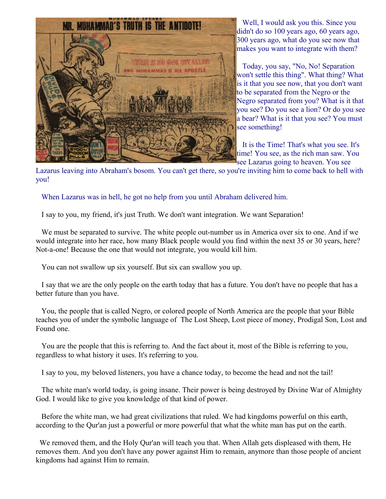

Well, I would ask you this. Since you didn't do so 100 years ago, 60 years ago, 300 years ago, what do you see now that makes you want to integrate with them?

Today, you say, "No, No! Separation won't settle this thing". What thing? What is it that you see now, that you don't want to be separated from the Negro or the Negro separated from you? What is it that you see? Do you see a lion? Or do you see a bear? What is it that you see? You must see something!

It is the Time! That's what you see. It's time! You see, as the rich man saw. You see Lazarus going to heaven. You see

Lazarus leaving into Abraham's bosom. You can't get there, so you're inviting him to come back to hell with you!

When Lazarus was in hell, he got no help from you until Abraham delivered him.

I say to you, my friend, it's just Truth. We don't want integration. We want Separation!

We must be separated to survive. The white people out-number us in America over six to one. And if we would integrate into her race, how many Black people would you find within the next 35 or 30 years, here? Not-a-one! Because the one that would not integrate, you would kill him.

You can not swallow up six yourself. But six can swallow you up.

I say that we are the only people on the earth today that has a future. You don't have no people that has a better future than you have.

You, the people that is called Negro, or colored people of North America are the people that your Bible teaches you of under the symbolic language of The Lost Sheep, Lost piece of money, Prodigal Son, Lost and Found one.

You are the people that this is referring to. And the fact about it, most of the Bible is referring to you, regardless to what history it uses. It's referring to you.

I say to you, my beloved listeners, you have a chance today, to become the head and not the tail!

The white man's world today, is going insane. Their power is being destroyed by Divine War of Almighty God. I would like to give you knowledge of that kind of power.

Before the white man, we had great civilizations that ruled. We had kingdoms powerful on this earth, according to the Qur'an just a powerful or more powerful that what the white man has put on the earth.

 We removed them, and the Holy Qur'an will teach you that. When Allah gets displeased with them, He removes them. And you don't have any power against Him to remain, anymore than those people of ancient kingdoms had against Him to remain.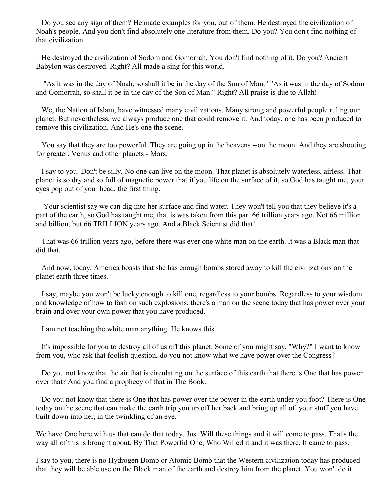Do you see any sign of them? He made examples for you, out of them. He destroyed the civilization of Noah's people. And you don't find absolutely one literature from them. Do you? You don't find nothing of that civilization.

He destroyed the civilization of Sodom and Gomorrah. You don't find nothing of it. Do you? Ancient Babylon was destroyed. Right? All made a sing for this world.

 "As it was in the day of Noah, so shall it be in the day of the Son of Man." "As it was in the day of Sodom and Gomorrah, so shall it be in the day of the Son of Man." Right? All praise is due to Allah!

We, the Nation of Islam, have witnessed many civilizations. Many strong and powerful people ruling our planet. But nevertheless, we always produce one that could remove it. And today, one has been produced to remove this civilization. And He's one the scene.

You say that they are too powerful. They are going up in the heavens --on the moon. And they are shooting for greater. Venus and other planets - Mars.

I say to you. Don't be silly. No one can live on the moon. That planet is absolutely waterless, airless. That planet is so dry and so full of magnetic power that if you life on the surface of it, so God has taught me, your eyes pop out of your head, the first thing.

 Your scientist say we can dig into her surface and find water. They won't tell you that they believe it's a part of the earth, so God has taught me, that is was taken from this part 66 trillion years ago. Not 66 million and billion, but 66 TRILLION years ago. And a Black Scientist did that!

That was 66 trillion years ago, before there was ever one white man on the earth. It was a Black man that did that.

And now, today, America boasts that she has enough bombs stored away to kill the civilizations on the planet earth three times.

I say, maybe you won't be lucky enough to kill one, regardless to your bombs. Regardless to your wisdom and knowledge of how to fashion such explosions, there's a man on the scene today that has power over your brain and over your own power that you have produced.

I am not teaching the white man anything. He knows this.

It's impossible for you to destroy all of us off this planet. Some of you might say, "Why?" I want to know from you, who ask that foolish question, do you not know what we have power over the Congress?

Do you not know that the air that is circulating on the surface of this earth that there is One that has power over that? And you find a prophecy of that in The Book.

Do you not know that there is One that has power over the power in the earth under you foot? There is One today on the scene that can make the earth trip you up off her back and bring up all of your stuff you have built down into her, in the twinkling of an eye.

We have One here with us that can do that today. Just Will these things and it will come to pass. That's the way all of this is brought about. By That Powerful One, Who Willed it and it was there. It came to pass.

I say to you, there is no Hydrogen Bomb or Atomic Bomb that the Western civilization today has produced that they will be able use on the Black man of the earth and destroy him from the planet. You won't do it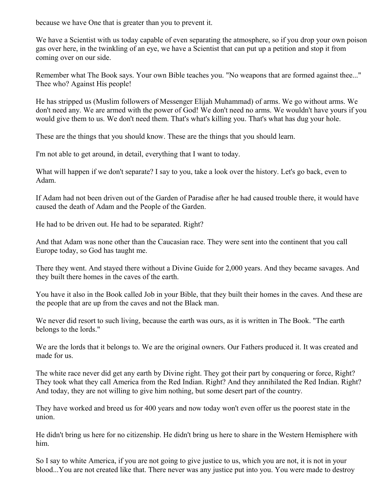because we have One that is greater than you to prevent it.

We have a Scientist with us today capable of even separating the atmosphere, so if you drop your own poison gas over here, in the twinkling of an eye, we have a Scientist that can put up a petition and stop it from coming over on our side.

Remember what The Book says. Your own Bible teaches you. "No weapons that are formed against thee..." Thee who? Against His people!

He has stripped us (Muslim followers of Messenger Elijah Muhammad) of arms. We go without arms. We don't need any. We are armed with the power of God! We don't need no arms. We wouldn't have yours if you would give them to us. We don't need them. That's what's killing you. That's what has dug your hole.

These are the things that you should know. These are the things that you should learn.

I'm not able to get around, in detail, everything that I want to today.

What will happen if we don't separate? I say to you, take a look over the history. Let's go back, even to Adam.

If Adam had not been driven out of the Garden of Paradise after he had caused trouble there, it would have caused the death of Adam and the People of the Garden.

He had to be driven out. He had to be separated. Right?

And that Adam was none other than the Caucasian race. They were sent into the continent that you call Europe today, so God has taught me.

There they went. And stayed there without a Divine Guide for 2,000 years. And they became savages. And they built there homes in the caves of the earth.

You have it also in the Book called Job in your Bible, that they built their homes in the caves. And these are the people that are up from the caves and not the Black man.

We never did resort to such living, because the earth was ours, as it is written in The Book. "The earth" belongs to the lords."

We are the lords that it belongs to. We are the original owners. Our Fathers produced it. It was created and made for us.

The white race never did get any earth by Divine right. They got their part by conquering or force, Right? They took what they call America from the Red Indian. Right? And they annihilated the Red Indian. Right? And today, they are not willing to give him nothing, but some desert part of the country.

They have worked and breed us for 400 years and now today won't even offer us the poorest state in the union.

He didn't bring us here for no citizenship. He didn't bring us here to share in the Western Hemisphere with him.

So I say to white America, if you are not going to give justice to us, which you are not, it is not in your blood...You are not created like that. There never was any justice put into you. You were made to destroy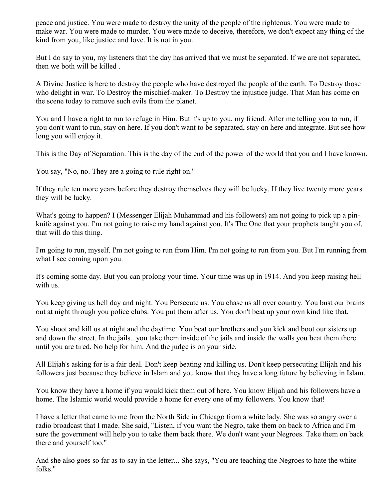peace and justice. You were made to destroy the unity of the people of the righteous. You were made to make war. You were made to murder. You were made to deceive, therefore, we don't expect any thing of the kind from you, like justice and love. It is not in you.

But I do say to you, my listeners that the day has arrived that we must be separated. If we are not separated, then we both will be killed .

A Divine Justice is here to destroy the people who have destroyed the people of the earth. To Destroy those who delight in war. To Destroy the mischief-maker. To Destroy the injustice judge. That Man has come on the scene today to remove such evils from the planet.

You and I have a right to run to refuge in Him. But it's up to you, my friend. After me telling you to run, if you don't want to run, stay on here. If you don't want to be separated, stay on here and integrate. But see how long you will enjoy it.

This is the Day of Separation. This is the day of the end of the power of the world that you and I have known.

You say, "No, no. They are a going to rule right on."

If they rule ten more years before they destroy themselves they will be lucky. If they live twenty more years. they will be lucky.

What's going to happen? I (Messenger Elijah Muhammad and his followers) am not going to pick up a pinknife against you. I'm not going to raise my hand against you. It's The One that your prophets taught you of, that will do this thing.

I'm going to run, myself. I'm not going to run from Him. I'm not going to run from you. But I'm running from what I see coming upon you.

It's coming some day. But you can prolong your time. Your time was up in 1914. And you keep raising hell with us.

You keep giving us hell day and night. You Persecute us. You chase us all over country. You bust our brains out at night through you police clubs. You put them after us. You don't beat up your own kind like that.

You shoot and kill us at night and the daytime. You beat our brothers and you kick and boot our sisters up and down the street. In the jails...you take them inside of the jails and inside the walls you beat them there until you are tired. No help for him. And the judge is on your side.

All Elijah's asking for is a fair deal. Don't keep beating and killing us. Don't keep persecuting Elijah and his followers just because they believe in Islam and you know that they have a long future by believing in Islam.

You know they have a home if you would kick them out of here. You know Elijah and his followers have a home. The Islamic world would provide a home for every one of my followers. You know that!

I have a letter that came to me from the North Side in Chicago from a white lady. She was so angry over a radio broadcast that I made. She said, "Listen, if you want the Negro, take them on back to Africa and I'm sure the government will help you to take them back there. We don't want your Negroes. Take them on back there and yourself too."

And she also goes so far as to say in the letter... She says, "You are teaching the Negroes to hate the white folks."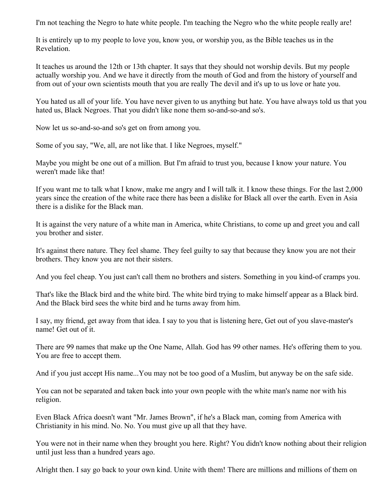I'm not teaching the Negro to hate white people. I'm teaching the Negro who the white people really are!

It is entirely up to my people to love you, know you, or worship you, as the Bible teaches us in the Revelation.

It teaches us around the 12th or 13th chapter. It says that they should not worship devils. But my people actually worship you. And we have it directly from the mouth of God and from the history of yourself and from out of your own scientists mouth that you are really The devil and it's up to us love or hate you.

You hated us all of your life. You have never given to us anything but hate. You have always told us that you hated us, Black Negroes. That you didn't like none them so-and-so-and so's.

Now let us so-and-so-and so's get on from among you.

Some of you say, "We, all, are not like that. I like Negroes, myself."

Maybe you might be one out of a million. But I'm afraid to trust you, because I know your nature. You weren't made like that!

If you want me to talk what I know, make me angry and I will talk it. I know these things. For the last 2,000 years since the creation of the white race there has been a dislike for Black all over the earth. Even in Asia there is a dislike for the Black man.

It is against the very nature of a white man in America, white Christians, to come up and greet you and call you brother and sister.

It's against there nature. They feel shame. They feel guilty to say that because they know you are not their brothers. They know you are not their sisters.

And you feel cheap. You just can't call them no brothers and sisters. Something in you kind-of cramps you.

That's like the Black bird and the white bird. The white bird trying to make himself appear as a Black bird. And the Black bird sees the white bird and he turns away from him.

I say, my friend, get away from that idea. I say to you that is listening here, Get out of you slave-master's name! Get out of it.

There are 99 names that make up the One Name, Allah. God has 99 other names. He's offering them to you. You are free to accept them.

And if you just accept His name...You may not be too good of a Muslim, but anyway be on the safe side.

You can not be separated and taken back into your own people with the white man's name nor with his religion.

Even Black Africa doesn't want "Mr. James Brown", if he's a Black man, coming from America with Christianity in his mind. No. No. You must give up all that they have.

You were not in their name when they brought you here. Right? You didn't know nothing about their religion until just less than a hundred years ago.

Alright then. I say go back to your own kind. Unite with them! There are millions and millions of them on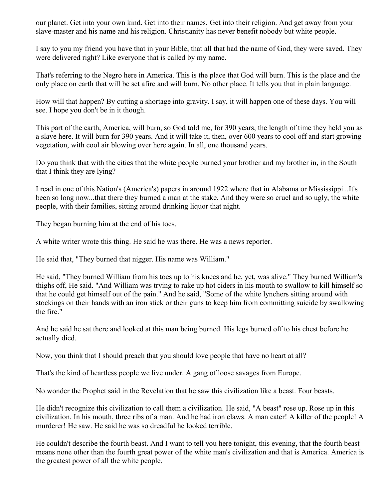our planet. Get into your own kind. Get into their names. Get into their religion. And get away from your slave-master and his name and his religion. Christianity has never benefit nobody but white people.

I say to you my friend you have that in your Bible, that all that had the name of God, they were saved. They were delivered right? Like everyone that is called by my name.

That's referring to the Negro here in America. This is the place that God will burn. This is the place and the only place on earth that will be set afire and will burn. No other place. It tells you that in plain language.

How will that happen? By cutting a shortage into gravity. I say, it will happen one of these days. You will see. I hope you don't be in it though.

This part of the earth, America, will burn, so God told me, for 390 years, the length of time they held you as a slave here. It will burn for 390 years. And it will take it, then, over 600 years to cool off and start growing vegetation, with cool air blowing over here again. In all, one thousand years.

Do you think that with the cities that the white people burned your brother and my brother in, in the South that I think they are lying?

I read in one of this Nation's (America's) papers in around 1922 where that in Alabama or Mississippi...It's been so long now...that there they burned a man at the stake. And they were so cruel and so ugly, the white people, with their families, sitting around drinking liquor that night.

They began burning him at the end of his toes.

A white writer wrote this thing. He said he was there. He was a news reporter.

He said that, "They burned that nigger. His name was William."

He said, "They burned William from his toes up to his knees and he, yet, was alive." They burned William's thighs off, He said. "And William was trying to rake up hot ciders in his mouth to swallow to kill himself so that he could get himself out of the pain." And he said, "Some of the white lynchers sitting around with stockings on their hands with an iron stick or their guns to keep him from committing suicide by swallowing the fire."

And he said he sat there and looked at this man being burned. His legs burned off to his chest before he actually died.

Now, you think that I should preach that you should love people that have no heart at all?

That's the kind of heartless people we live under. A gang of loose savages from Europe.

No wonder the Prophet said in the Revelation that he saw this civilization like a beast. Four beasts.

He didn't recognize this civilization to call them a civilization. He said, "A beast" rose up. Rose up in this civilization. In his mouth, three ribs of a man. And he had iron claws. A man eater! A killer of the people! A murderer! He saw. He said he was so dreadful he looked terrible.

He couldn't describe the fourth beast. And I want to tell you here tonight, this evening, that the fourth beast means none other than the fourth great power of the white man's civilization and that is America. America is the greatest power of all the white people.